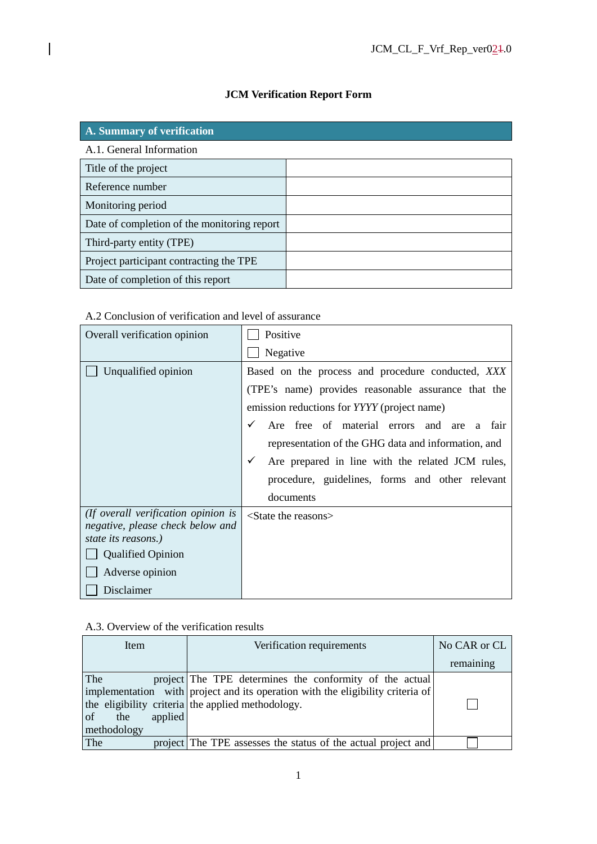# **JCM Verification Report Form**

| A. Summary of verification                  |  |  |
|---------------------------------------------|--|--|
| A.1. General Information                    |  |  |
| Title of the project                        |  |  |
| Reference number                            |  |  |
| Monitoring period                           |  |  |
| Date of completion of the monitoring report |  |  |
| Third-party entity (TPE)                    |  |  |
| Project participant contracting the TPE     |  |  |
| Date of completion of this report           |  |  |

# A.2 Conclusion of verification and level of assurance

 $\overline{\phantom{a}}$ 

| Overall verification opinion        | Positive                                              |  |  |
|-------------------------------------|-------------------------------------------------------|--|--|
|                                     | Negative                                              |  |  |
| Unqualified opinion                 | Based on the process and procedure conducted, XXX     |  |  |
|                                     | (TPE's name) provides reasonable assurance that the   |  |  |
|                                     | emission reductions for YYYY (project name)           |  |  |
|                                     | Are free of material errors and are a fair<br>✓       |  |  |
|                                     | representation of the GHG data and information, and   |  |  |
|                                     | Are prepared in line with the related JCM rules,<br>✓ |  |  |
|                                     | procedure, guidelines, forms and other relevant       |  |  |
|                                     | documents                                             |  |  |
| (If overall verification opinion is | $\le$ State the reasons $>$                           |  |  |
| negative, please check below and    |                                                       |  |  |
| state its reasons.)                 |                                                       |  |  |
| <b>Qualified Opinion</b>            |                                                       |  |  |
| Adverse opinion                     |                                                       |  |  |
| Disclaimer                          |                                                       |  |  |

# A.3. Overview of the verification results

| Item                 | Verification requirements                                                      | No CAR or CL |  |
|----------------------|--------------------------------------------------------------------------------|--------------|--|
|                      |                                                                                | remaining    |  |
| The                  | project The TPE determines the conformity of the actual                        |              |  |
|                      | implementation with project and its operation with the eligibility criteria of |              |  |
|                      | the eligibility criteria the applied methodology.                              |              |  |
| applied<br>of<br>the |                                                                                |              |  |
| methodology          |                                                                                |              |  |
| The                  | project The TPE assesses the status of the actual project and                  |              |  |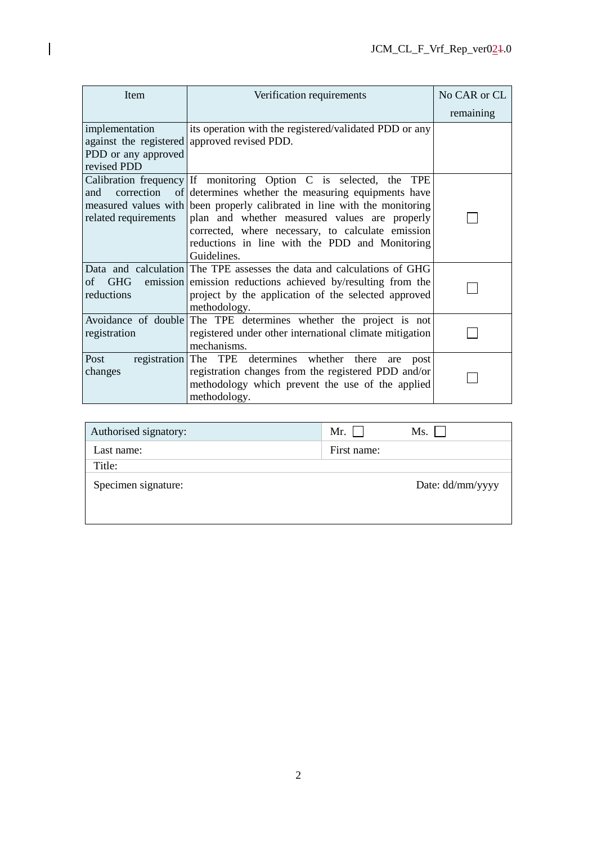| Item                                                 | Verification requirements                                                                                                                                                                                                                                                                                                                                                               | No CAR or CL |
|------------------------------------------------------|-----------------------------------------------------------------------------------------------------------------------------------------------------------------------------------------------------------------------------------------------------------------------------------------------------------------------------------------------------------------------------------------|--------------|
|                                                      |                                                                                                                                                                                                                                                                                                                                                                                         | remaining    |
| implementation<br>PDD or any approved<br>revised PDD | its operation with the registered/validated PDD or any<br>against the registered approved revised PDD.                                                                                                                                                                                                                                                                                  |              |
| and<br>related requirements                          | Calibration frequency If monitoring Option C is selected, the TPE<br>correction of determines whether the measuring equipments have<br>measured values with been properly calibrated in line with the monitoring<br>plan and whether measured values are properly<br>corrected, where necessary, to calculate emission<br>reductions in line with the PDD and Monitoring<br>Guidelines. |              |
| <b>GHG</b><br>of<br>reductions                       | Data and calculation The TPE assesses the data and calculations of GHG<br>emission emission reductions achieved by/resulting from the<br>project by the application of the selected approved<br>methodology.                                                                                                                                                                            |              |
| registration                                         | Avoidance of double The TPE determines whether the project is not<br>registered under other international climate mitigation<br>mechanisms.                                                                                                                                                                                                                                             |              |
| Post<br>changes                                      | registration The TPE determines whether there are<br>post<br>registration changes from the registered PDD and/or<br>methodology which prevent the use of the applied<br>methodology.                                                                                                                                                                                                    |              |

 $\overline{\phantom{a}}$ 

| Authorised signatory: | Mr.         | Ms.              |
|-----------------------|-------------|------------------|
| Last name:            | First name: |                  |
| Title:                |             |                  |
| Specimen signature:   |             | Date: dd/mm/yyyy |
|                       |             |                  |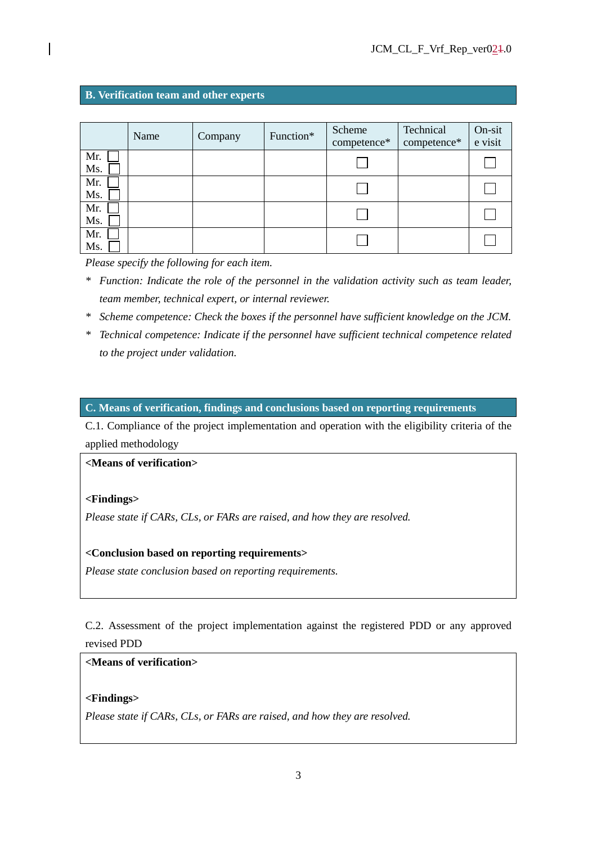# **B. Verification team and other experts**

|            | Name | Company | Function* | Scheme<br>competence* | Technical<br>competence* | On-sit<br>e visit |
|------------|------|---------|-----------|-----------------------|--------------------------|-------------------|
| Mr.<br>Ms. |      |         |           |                       |                          |                   |
| Mr.<br>Ms. |      |         |           |                       |                          |                   |
| Mr.<br>Ms. |      |         |           |                       |                          |                   |
| Mr.<br>Ms. |      |         |           |                       |                          |                   |

*Please specify the following for each item.* 

- *\* Function: Indicate the role of the personnel in the validation activity such as team leader, team member, technical expert, or internal reviewer.*
- *\* Scheme competence: Check the boxes if the personnel have sufficient knowledge on the JCM.*
- *\* Technical competence: Indicate if the personnel have sufficient technical competence related to the project under validation.*

**C. Means of verification, findings and conclusions based on reporting requirements** 

C.1. Compliance of the project implementation and operation with the eligibility criteria of the applied methodology

### **<Means of verification>**

### **<Findings>**

*Please state if CARs, CLs, or FARs are raised, and how they are resolved.* 

### **<Conclusion based on reporting requirements>**

*Please state conclusion based on reporting requirements.* 

C.2. Assessment of the project implementation against the registered PDD or any approved revised PDD

### **<Means of verification>**

### **<Findings>**

*Please state if CARs, CLs, or FARs are raised, and how they are resolved.*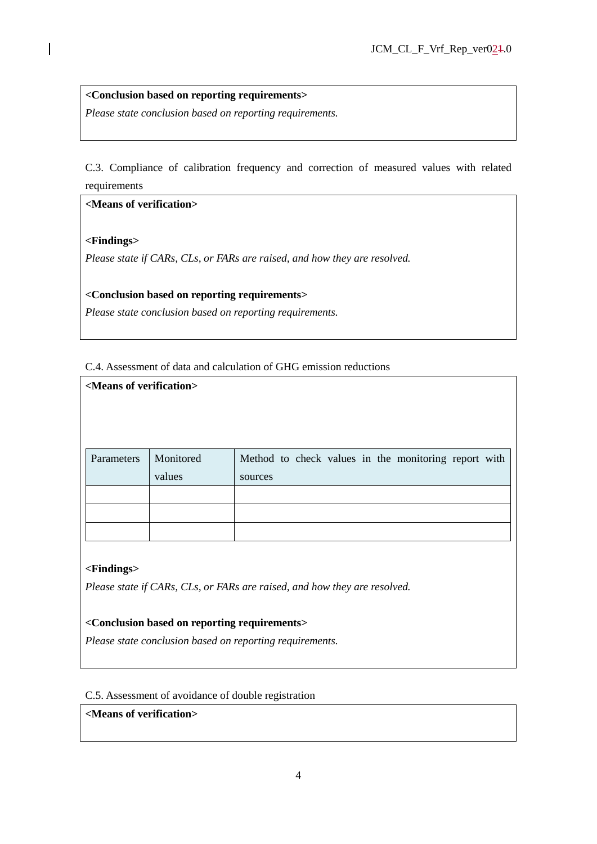#### **<Conclusion based on reporting requirements>**

*Please state conclusion based on reporting requirements.* 

C.3. Compliance of calibration frequency and correction of measured values with related requirements

## **<Means of verification>**

### **<Findings>**

*Please state if CARs, CLs, or FARs are raised, and how they are resolved.* 

## **<Conclusion based on reporting requirements>**

*Please state conclusion based on reporting requirements.* 

# C.4. Assessment of data and calculation of GHG emission reductions

| <means of="" verification=""></means> |                     |                                                                 |
|---------------------------------------|---------------------|-----------------------------------------------------------------|
| Parameters                            | Monitored<br>values | Method to check values in the monitoring report with<br>sources |
|                                       |                     |                                                                 |

## **<Findings>**

*Please state if CARs, CLs, or FARs are raised, and how they are resolved.* 

### **<Conclusion based on reporting requirements>**

*Please state conclusion based on reporting requirements.* 

### C.5. Assessment of avoidance of double registration

### **<Means of verification>**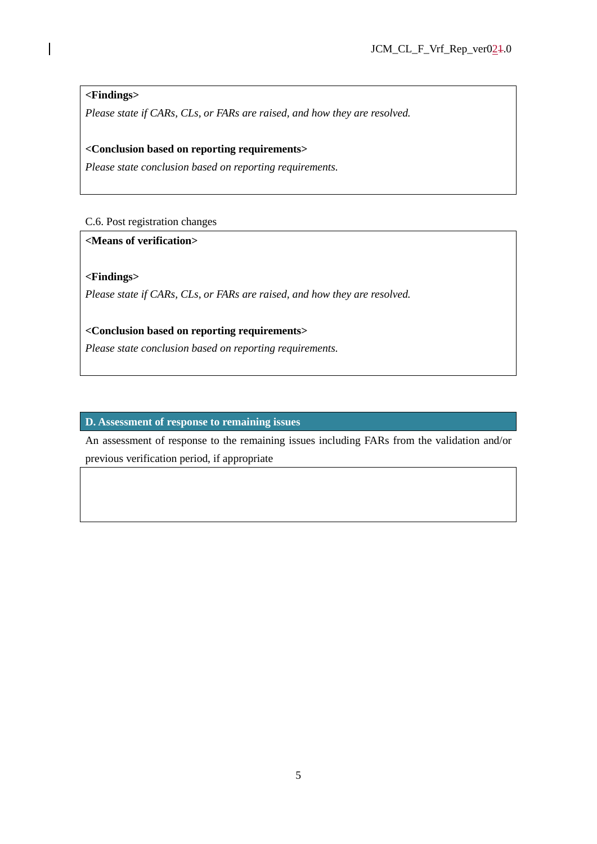**<Findings>** 

*Please state if CARs, CLs, or FARs are raised, and how they are resolved.* 

**<Conclusion based on reporting requirements>** 

*Please state conclusion based on reporting requirements.* 

# C.6. Post registration changes

## **<Means of verification>**

**<Findings>** 

*Please state if CARs, CLs, or FARs are raised, and how they are resolved.* 

## **<Conclusion based on reporting requirements>**

*Please state conclusion based on reporting requirements.* 

# **D. Assessment of response to remaining issues**

An assessment of response to the remaining issues including FARs from the validation and/or previous verification period, if appropriate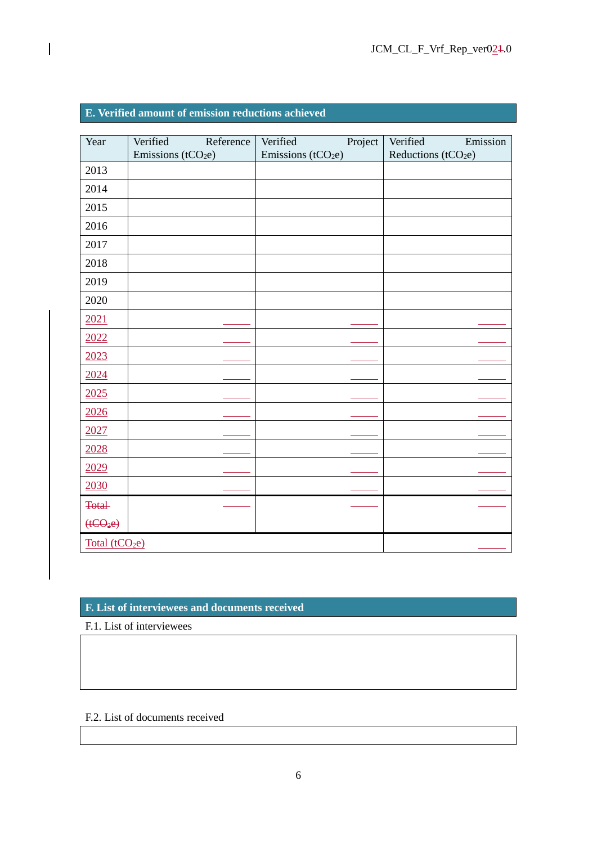| Year                         | Verified<br>Reference<br>Emissions ( $tCO2e$ ) | Verified<br>Project<br>Emissions ( $tCO2e$ ) | Verified<br>Emission<br>Reductions $(tCO2e)$ |
|------------------------------|------------------------------------------------|----------------------------------------------|----------------------------------------------|
| 2013                         |                                                |                                              |                                              |
| 2014                         |                                                |                                              |                                              |
| 2015                         |                                                |                                              |                                              |
| 2016                         |                                                |                                              |                                              |
| 2017                         |                                                |                                              |                                              |
| 2018                         |                                                |                                              |                                              |
| 2019                         |                                                |                                              |                                              |
| 2020                         |                                                |                                              |                                              |
| 2021                         |                                                |                                              |                                              |
| 2022                         |                                                |                                              |                                              |
| 2023                         |                                                |                                              |                                              |
| 2024                         |                                                |                                              |                                              |
| 2025                         |                                                |                                              |                                              |
| 2026                         |                                                |                                              |                                              |
| 2027                         |                                                |                                              |                                              |
| 2028                         |                                                |                                              |                                              |
| 2029                         |                                                |                                              |                                              |
| 2030                         |                                                |                                              |                                              |
| <b>Total-</b>                |                                                |                                              |                                              |
| ( <i>tCO</i> <sub>2</sub> e) |                                                |                                              |                                              |
| Total $(tCO2e)$              |                                                |                                              |                                              |

# **E. Verified amount of emission reductions achieved**

 $\overline{\phantom{a}}$ 

# **F. List of interviewees and documents received**

F.1. List of interviewees

# F.2. List of documents received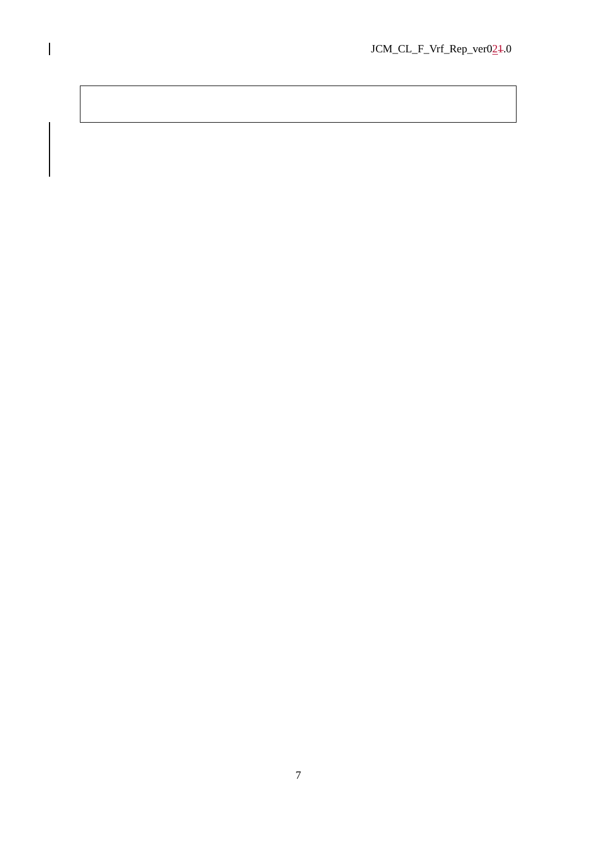$\overline{\phantom{a}}$